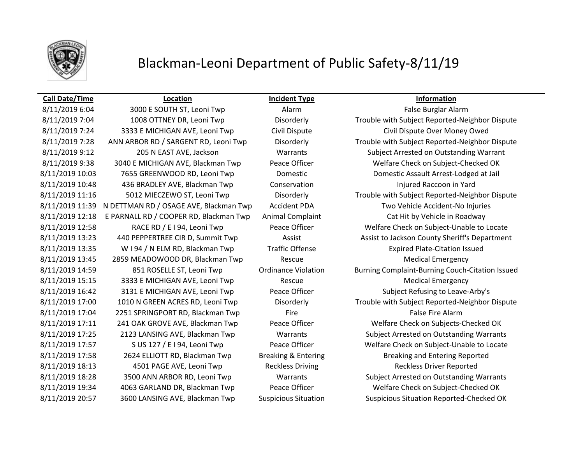

## Blackman-Leoni Department of Public Safety-8/11/19

### **Call Date/Time Location Incident Type Information**

# 8/11/2019 6:04 3000 E SOUTH ST, Leoni Twp Alarm Alarm Alarm False Burglar Alarm 8/11/2019 10:48 436 BRADLEY AVE, Blackman Twp Conservation Internation Injured Raccoon in Yard 8/11/2019 12:18 E PARNALL RD / COOPER RD, Blackman Twp Animal Complaint Cat Hit by Vehicle in Roadway 8/11/2019 13:35 W I 94 / N ELM RD, Blackman Twp Traffic Offense Expired Plate-Citation Issued 8/11/2019 13:45 2859 MEADOWOOD DR, Blackman Twp Rescue Rescue Medical Emergency 8/11/2019 15:15 3333 E MICHIGAN AVE, Leoni Twp Rescue Rescue Medical Emergency 8/11/2019 17:04 2251 SPRINGPORT RD, Blackman Twp Fire Fire False Fire Alarm 8/11/2019 18:13 4501 PAGE AVE, Leoni Twp Reckless Driving Reckless Driver Reported

8/11/2019 7:04 1008 OTTNEY DR, Leoni Twp Disorderly Trouble with Subject Reported-Neighbor Dispute 8/11/2019 7:24 3333 E MICHIGAN AVE, Leoni Twp Civil Dispute Civil Dispute Civil Dispute Over Money Owed 8/11/2019 7:28 ANN ARBOR RD / SARGENT RD, Leoni Twp Disorderly Trouble with Subject Reported-Neighbor Dispute 8/11/2019 9:12 205 N EAST AVE, Jackson Warrants Subject Arrested on Outstanding Warrant 8/11/2019 9:38 3040 E MICHIGAN AVE, Blackman Twp Peace Officer Welfare Check on Subject-Checked OK 8/11/2019 10:03 7655 GREENWOOD RD, Leoni Twp Domestic Domestic Assault Arrest-Lodged at Jail 8/11/2019 11:16 5012 MIECZEWO ST, Leoni Twp Disorderly Trouble with Subject Reported-Neighbor Dispute 8/11/2019 11:39 N DETTMAN RD / OSAGE AVE, Blackman Twp Accident PDA Two Vehicle Accident-No Injuries 8/11/2019 12:58 RACE RD / E I 94, Leoni Twp Peace Officer Welfare Check on Subject-Unable to Locate 8/11/2019 13:23 440 PEPPERTREE CIR D, Summit Twp Assist Assist Assist Assist to Jackson County Sheriff's Department 8/11/2019 14:59 851 ROSELLE ST, Leoni Twp Ordinance Violation Burning Complaint-Burning Couch-Citation Issued 8/11/2019 16:42 3131 E MICHIGAN AVE, Leoni Twp Peace Officer Subject Refusing to Leave-Arby's 8/11/2019 17:00 1010 N GREEN ACRES RD, Leoni Twp Disorderly Trouble with Subject Reported-Neighbor Dispute 8/11/2019 17:11 241 OAK GROVE AVE, Blackman Twp Peace Officer Welfare Check on Subjects-Checked OK 8/11/2019 17:25 2123 LANSING AVE, Blackman Twp Warrants Subject Arrested on Outstanding Warrants 8/11/2019 17:57 S US 127 / E I 94, Leoni Twp Peace Officer Welfare Check on Subject-Unable to Locate 8/11/2019 17:58 2624 ELLIOTT RD, Blackman Twp Breaking & Entering Breaking and Entering Reported 8/11/2019 18:28 3500 ANN ARBOR RD, Leoni Twp Warrants Subject Arrested on Outstanding Warrants 8/11/2019 19:34 4063 GARLAND DR, Blackman Twp Peace Officer Welfare Check on Subject-Checked OK 8/11/2019 20:57 3600 LANSING AVE, Blackman Twp Suspicious Situation Suspicious Situation Reported-Checked OK